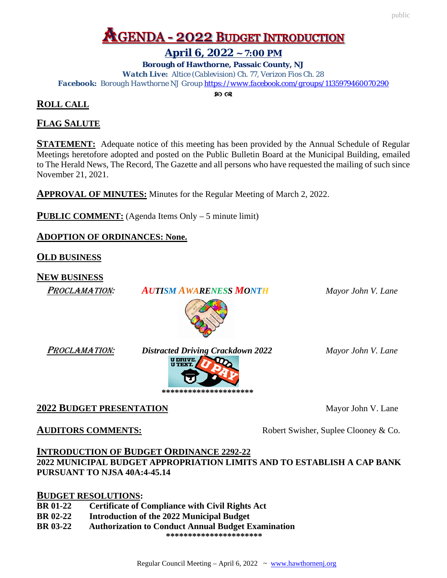## **AGENDA - 2022 BUDGET INTRODUCTION**

## **April 6, 2022 ~ 7:00 PM**

**Borough of Hawthorne, Passaic County, NJ** *Watch Live: Altice (Cablevision) Ch. 77, Verizon Fios Ch. 28 Facebook: Borough Hawthorne NJ Grou[p https://www.facebook.com/groups/1135979460070290](https://www.facebook.com/groups/1135979460070290)*

**ROLL CALL**

## **FLAG SALUTE**

**STATEMENT:** Adequate notice of this meeting has been provided by the Annual Schedule of Regular Meetings heretofore adopted and posted on the Public Bulletin Board at the Municipal Building, emailed to The Herald News, The Record, The Gazette and all persons who have requested the mailing of such since November 21, 2021.

**APPROVAL OF MINUTES:** Minutes for the Regular Meeting of March 2, 2022.

**PUBLIC COMMENT:** (Agenda Items Only – 5 minute limit)

**ADOPTION OF ORDINANCES: None.**

**OLD BUSINESS**

**NEW BUSINESS**

PROCLAMATION: *AUTISM AWARENESS MONTH Mayor John V. Lane* 



PROCLAMATION: *Distracted Driving Crackdown 2022 Mayor John V. Lane*



## **2022 BUDGET PRESENTATION** Mayor John V. Lane

**AUDITORS COMMENTS:** Robert Swisher, Suplee Clooney & Co.

## **INTRODUCTION OF BUDGET ORDINANCE 2292-22 2022 MUNICIPAL BUDGET APPROPRIATION LIMITS AND TO ESTABLISH A CAP BANK PURSUANT TO NJSA 40A:4-45.14**

## **BUDGET RESOLUTIONS:**

- **BR 01-22 Certificate of Compliance with Civil Rights Act**
- **BR 02-22 Introduction of the 2022 Municipal Budget**

**BR 03-22 Authorization to Conduct Annual Budget Examination \*\*\*\*\*\*\*\*\*\*\*\*\*\*\*\*\*\*\*\*\*\***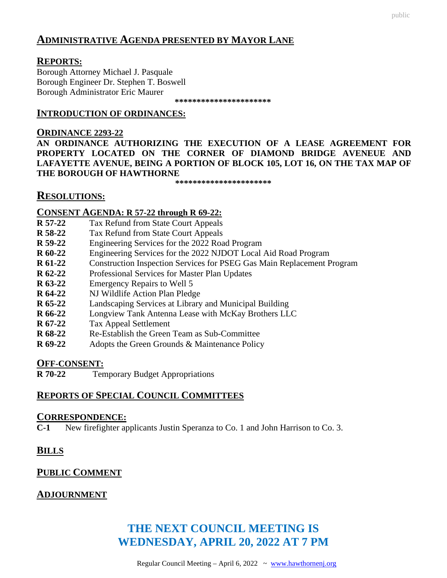## **ADMINISTRATIVE AGENDA PRESENTED BY MAYOR LANE**

#### **REPORTS:**

Borough Attorney Michael J. Pasquale Borough Engineer Dr. Stephen T. Boswell Borough Administrator Eric Maurer

 **\*\*\*\*\*\*\*\*\*\*\*\*\*\*\*\*\*\*\*\*\*\***

#### **INTRODUCTION OF ORDINANCES:**

**ORDINANCE 2293-22 AN ORDINANCE AUTHORIZING THE EXECUTION OF A LEASE AGREEMENT FOR PROPERTY LOCATED ON THE CORNER OF DIAMOND BRIDGE AVENEUE AND LAFAYETTE AVENUE, BEING A PORTION OF BLOCK 105, LOT 16, ON THE TAX MAP OF THE BOROUGH OF HAWTHORNE**

**\*\*\*\*\*\*\*\*\*\*\*\*\*\*\*\*\*\*\*\*\*\***

## **RESOLUTIONS:**

#### **CONSENT AGENDA: R 57-22 through R 69-22:**

- **R 57-22** Tax Refund from State Court Appeals
- **R 58-22** Tax Refund from State Court Appeals
- **R 59-22** Engineering Services for the 2022 Road Program
- **R 60-22** Engineering Services for the 2022 NJDOT Local Aid Road Program
- **R 61-22** Construction Inspection Services for PSEG Gas Main Replacement Program
- **R 62-22** Professional Services for Master Plan Updates
- **R 63-22** Emergency Repairs to Well 5
- **R 64-22** NJ Wildlife Action Plan Pledge
- **R 65-22** Landscaping Services at Library and Municipal Building
- **R 66-22** Longview Tank Antenna Lease with McKay Brothers LLC
- **R 67-22** Tax Appeal Settlement
- **R 68-22** Re-Establish the Green Team as Sub-Committee
- **R 69-22** Adopts the Green Grounds & Maintenance Policy

# **OFF-CONSENT:**<br>**R** 70-22 Ter

**Temporary Budget Appropriations** 

## **REPORTS OF SPECIAL COUNCIL COMMITTEES**

#### **CORRESPONDENCE:**

**C-1** New firefighter applicants Justin Speranza to Co. 1 and John Harrison to Co. 3.

## **BILLS**

## **PUBLIC COMMENT**

#### **ADJOURNMENT**

## **THE NEXT COUNCIL MEETING IS WEDNESDAY, APRIL 20, 2022 AT 7 PM**